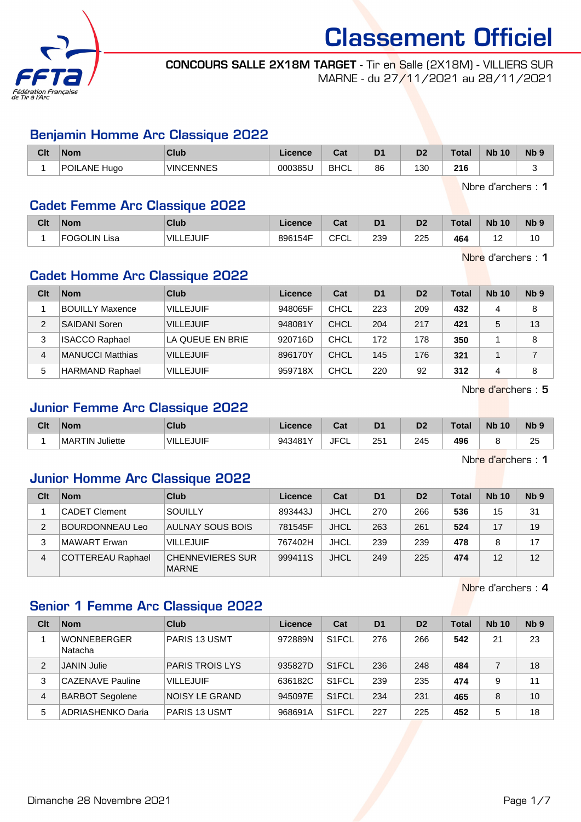

#### CONCOURS SALLE 2X18M TARGET - Tir en Salle (2X18M) - VILLIERS SUR MARNE - du 27/11/2021 au 28/11/2021

### Benjamin Homme Arc Classique 2022

| Clt | <b>Nom</b>             | Club             | Licence | <b>Take</b><br>ual | D <sub>1</sub> | D <sub>2</sub> | <b>Total</b> | <b>N<sub>b</sub></b><br>10 | N <sub>b</sub> <sub>9</sub> |
|-----|------------------------|------------------|---------|--------------------|----------------|----------------|--------------|----------------------------|-----------------------------|
|     | <b>POILANE</b><br>Huao | <b>VINCENNES</b> | 000385U | <b>BHCL</b>        | 86             | 130            | 216          |                            |                             |

Nbre d'archers : 1

### Cadet Femme Arc Classique 2022

| Clt | <b>Nom</b>             | Club             | Licence | r.,<br>val  | D <sub>1</sub> | D <sub>2</sub> | <b>Total</b> | <b>Nb 10</b> | <b>N<sub>b</sub></b> |
|-----|------------------------|------------------|---------|-------------|----------------|----------------|--------------|--------------|----------------------|
|     | <b>FOGOLIN</b><br>Lisa | <b>VILLEJUIF</b> | 896154F | <b>CFCL</b> | 239            | 225            | 464          | --           | l U                  |

Nbre d'archers : 1

## Cadet Homme Arc Classique 2022

| Clt | <b>Nom</b>             | Club             | Licence | Cat         | D <sub>1</sub> | D <sub>2</sub> | <b>Total</b> | <b>Nb 10</b> | N <sub>b</sub> <sub>9</sub> |
|-----|------------------------|------------------|---------|-------------|----------------|----------------|--------------|--------------|-----------------------------|
|     | <b>BOUILLY Maxence</b> | <b>VILLEJUIF</b> | 948065F | <b>CHCL</b> | 223            | 209            | 432          | 4            | 8                           |
| 2   | <b>SAIDANI Soren</b>   | <b>VILLEJUIF</b> | 948081Y | CHCL        | 204            | 217            | 421          | 5            | 13                          |
| 3   | <b>ISACCO Raphael</b>  | LA QUEUE EN BRIE | 920716D | CHCL        | 172            | 178            | 350          |              | 8                           |
| 4   | MANUCCI Matthias       | <b>VILLEJUIF</b> | 896170Y | CHCL        | 145            | 176            | 321          |              |                             |
| 5   | <b>HARMAND Raphael</b> | <b>VILLEJUIF</b> | 959718X | <b>CHCL</b> | 220            | 92             | 312          | 4            | 8                           |

Nbre d'archers : 5

## Junior Femme Arc Classique 2022

| Clt | <b>Nom</b>         | Club            | icence           | r.,<br>val | D <sub>1</sub>       | D <sub>2</sub> | <b>Total</b> | <b>N<sub>b</sub></b><br>10 | <b>Nb</b>              |
|-----|--------------------|-----------------|------------------|------------|----------------------|----------------|--------------|----------------------------|------------------------|
|     | MARTIN<br>Juliette | `VIL.<br>EJUIF. | 943481Y<br>, , , | JFC'<br>◡∟ | 25'<br>$\sim$ $\sim$ | 245<br>$\sim$  | 496<br>__    |                            | $\sim$<br>∠∪<br>$\sim$ |

Nbre d'archers : 1

### Junior Homme Arc Classique 2022

| Clt | <b>Nom</b>               | Club                                    | Licence | Cat         | D <sub>1</sub> | D <sub>2</sub> | <b>Total</b> | <b>Nb 10</b> | N <sub>b</sub> <sub>9</sub> |
|-----|--------------------------|-----------------------------------------|---------|-------------|----------------|----------------|--------------|--------------|-----------------------------|
|     | <b>CADET Clement</b>     | <b>SOUILLY</b>                          | 893443J | <b>JHCL</b> | 270            | 266            | 536          | 15           | 31                          |
|     | <b>BOURDONNEAU Leo</b>   | AULNAY SOUS BOIS                        | 781545F | <b>JHCL</b> | 263            | 261            | 524          | 17           | 19                          |
|     | <b>MAWART</b> Erwan      | <b>VILLEJUIF</b>                        | 767402H | <b>JHCL</b> | 239            | 239            | 478          |              | 17                          |
| 4   | <b>COTTEREAU Raphael</b> | <b>CHENNEVIERES SUR</b><br><b>MARNE</b> | 999411S | <b>JHCL</b> | 249            | 225            | 474          | 12           | 12                          |

Nbre d'archers : 4

## Senior 1 Femme Arc Classique 2022

| Clt | <b>Nom</b>                    | Club                   | Licence | Cat                | D <sub>1</sub> | D <sub>2</sub> | <b>Total</b> | <b>Nb 10</b> | N <sub>b</sub> <sub>9</sub> |
|-----|-------------------------------|------------------------|---------|--------------------|----------------|----------------|--------------|--------------|-----------------------------|
|     | <b>WONNEBERGER</b><br>Natacha | PARIS 13 USMT          | 972889N | S <sub>1</sub> FCL | 276            | 266            | 542          | 21           | 23                          |
| 2   | <b>JANIN Julie</b>            | <b>PARIS TROIS LYS</b> | 935827D | S <sub>1</sub> FCL | 236            | 248            | 484          |              | 18                          |
| 3   | <b>CAZENAVE Pauline</b>       | <b>VILLEJUIF</b>       | 636182C | S <sub>1</sub> FCL | 239            | 235            | 474          | 9            | 11                          |
| 4   | <b>BARBOT Segolene</b>        | <b>NOISY LE GRAND</b>  | 945097E | S <sub>1</sub> FCL | 234            | 231            | 465          | 8            | 10                          |
| 5   | ADRIASHENKO Daria             | <b>PARIS 13 USMT</b>   | 968691A | S <sub>1</sub> FCL | 227            | 225            | 452          | 5            | 18                          |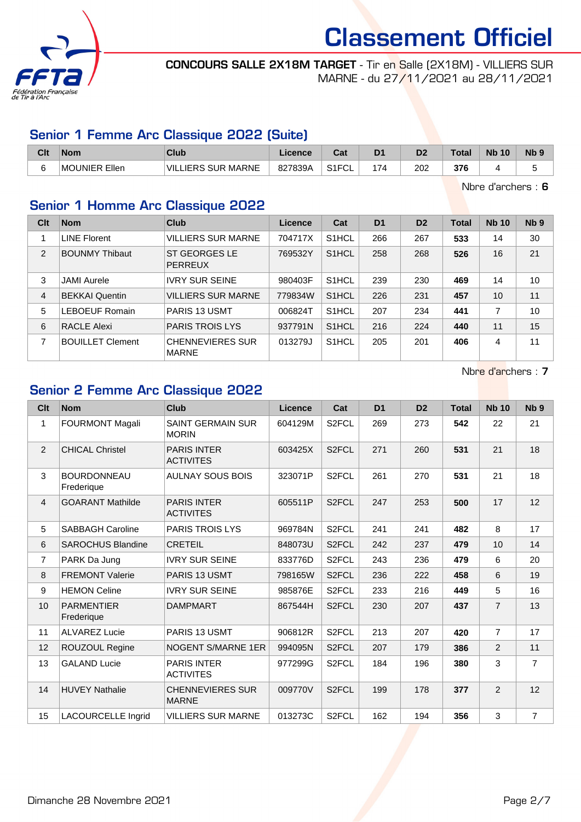

CONCOURS SALLE 2X18M TARGET - Tir en Salle (2X18M) - VILLIERS SUR MARNE - du 27/11/2021 au 28/11/2021

## Senior 1 Femme Arc Classique 2022 (Suite)

| Clt | <b>Nom</b>       | Club                               | Licence | <b>Pos</b><br>⊍aι    | D <sub>1</sub> | D <sub>2</sub> | Total | <b>N<sub>b</sub></b><br>10 <sup>°</sup> | N <sub>b</sub> <sub>9</sub> |
|-----|------------------|------------------------------------|---------|----------------------|----------------|----------------|-------|-----------------------------------------|-----------------------------|
| ∽   | Ellen<br>MOUNIER | <b>SUR</b><br>MARNE<br>VIL<br>IERS | 827839A | 0.1501<br>۱۱ ت<br>◡∟ | 174            | 202            | 376   |                                         |                             |

Nbre d'archers : 6

# Senior 1 Homme Arc Classique 2022

| Clt            | <b>Nom</b>              | Club                                    | <b>Licence</b> | Cat                | D <sub>1</sub> | D <sub>2</sub> | <b>Total</b> | <b>Nb 10</b> | Nb <sub>9</sub> |
|----------------|-------------------------|-----------------------------------------|----------------|--------------------|----------------|----------------|--------------|--------------|-----------------|
|                | LINE Florent            | <b>VILLIERS SUR MARNE</b>               | 704717X        | S1HCL              | 266            | 267            | 533          | 14           | 30              |
| 2              | <b>BOUNMY Thibaut</b>   | ST GEORGES LE<br><b>PERREUX</b>         | 769532Y        | S <sub>1</sub> HCL | 258            | 268            | 526          | 16           | 21              |
| 3              | <b>JAMI</b> Aurele      | <b>IVRY SUR SEINE</b>                   | 980403F        | S <sub>1</sub> HCL | 239            | 230            | 469          | 14           | 10              |
| $\overline{4}$ | <b>BEKKAI Quentin</b>   | <b>VILLIERS SUR MARNE</b>               | 779834W        | S <sub>1</sub> HCL | 226            | 231            | 457          | 10           | 11              |
| 5              | <b>LEBOEUF Romain</b>   | <b>PARIS 13 USMT</b>                    | 006824T        | S <sub>1</sub> HCL | 207            | 234            | 441          | 7            | 10              |
| 6              | <b>RACLE Alexi</b>      | <b>PARIS TROIS LYS</b>                  | 937791N        | S <sub>1</sub> HCL | 216            | 224            | 440          | 11           | 15              |
| 7              | <b>BOUILLET Clement</b> | <b>CHENNEVIERES SUR</b><br><b>MARNE</b> | 013279J        | S <sub>1</sub> HCL | 205            | 201            | 406          | 4            | 11              |

Nbre d'archers : 7

## Senior 2 Femme Arc Classique 2022

| Clt            | <b>Nom</b>                       | Club                                     | Licence | Cat                | D <sub>1</sub> | D <sub>2</sub> | <b>Total</b> | <b>Nb 10</b>   | N <sub>b</sub> <sub>9</sub> |
|----------------|----------------------------------|------------------------------------------|---------|--------------------|----------------|----------------|--------------|----------------|-----------------------------|
| $\mathbf{1}$   | <b>FOURMONT Magali</b>           | <b>SAINT GERMAIN SUR</b><br><b>MORIN</b> | 604129M | S <sub>2</sub> FCL | 269            | 273            | 542          | 22             | 21                          |
| 2              | <b>CHICAL Christel</b>           | <b>PARIS INTER</b><br><b>ACTIVITES</b>   | 603425X | S <sub>2</sub> FCL | 271            | 260            | 531          | 21             | 18                          |
| 3              | <b>BOURDONNEAU</b><br>Frederique | <b>AULNAY SOUS BOIS</b>                  | 323071P | S <sub>2</sub> FCL | 261            | 270            | 531          | 21             | 18                          |
| $\overline{4}$ | <b>GOARANT Mathilde</b>          | <b>PARIS INTER</b><br><b>ACTIVITES</b>   | 605511P | S <sub>2</sub> FCL | 247            | 253            | 500          | 17             | 12                          |
| 5              | <b>SABBAGH Caroline</b>          | PARIS TROIS LYS                          | 969784N | S <sub>2</sub> FCL | 241            | 241            | 482          | 8              | 17                          |
| 6              | <b>SAROCHUS Blandine</b>         | <b>CRETEIL</b>                           | 848073U | S <sub>2</sub> FCL | 242            | 237            | 479          | 10             | 14                          |
| $\overline{7}$ | PARK Da Jung                     | <b>IVRY SUR SEINE</b>                    | 833776D | S <sub>2</sub> FCL | 243            | 236            | 479          | 6              | 20                          |
| 8              | <b>FREMONT Valerie</b>           | PARIS 13 USMT                            | 798165W | S <sub>2</sub> FCL | 236            | 222            | 458          | 6              | 19                          |
| 9              | <b>HEMON Celine</b>              | <b>IVRY SUR SEINE</b>                    | 985876E | S <sub>2</sub> FCL | 233            | 216            | 449          | 5              | 16                          |
| 10             | <b>PARMENTIER</b><br>Frederique  | <b>DAMPMART</b>                          | 867544H | S <sub>2</sub> FCL | 230            | 207            | 437          | $\overline{7}$ | 13                          |
| 11             | <b>ALVAREZ Lucie</b>             | PARIS 13 USMT                            | 906812R | S <sub>2</sub> FCL | 213            | 207            | 420          | $\overline{7}$ | 17                          |
| 12             | ROUZOUL Regine                   | NOGENT S/MARNE 1ER                       | 994095N | S <sub>2</sub> FCL | 207            | 179            | 386          | $\mathcal{P}$  | 11                          |
| 13             | <b>GALAND Lucie</b>              | <b>PARIS INTER</b><br><b>ACTIVITES</b>   | 977299G | S <sub>2</sub> FCL | 184            | 196            | 380          | 3              | $\overline{7}$              |
| 14             | <b>HUVEY Nathalie</b>            | <b>CHENNEVIERES SUR</b><br><b>MARNE</b>  | 009770V | S <sub>2</sub> FCL | 199            | 178            | 377          | 2              | 12                          |
| 15             | <b>LACOURCELLE Ingrid</b>        | <b>VILLIERS SUR MARNE</b>                | 013273C | S <sub>2</sub> FCL | 162            | 194            | 356          | 3              | $\overline{7}$              |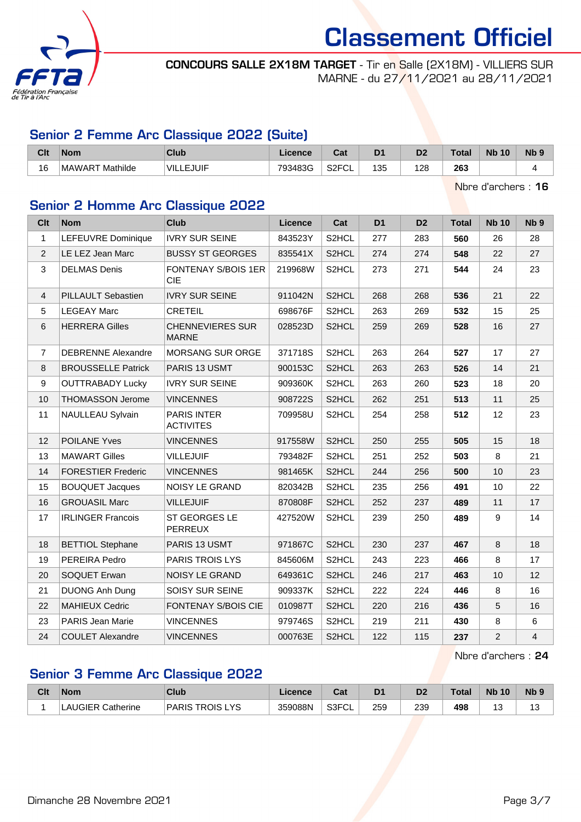

CONCOURS SALLE 2X18M TARGET - Tir en Salle (2X18M) - VILLIERS SUR MARNE - du 27/11/2021 au 28/11/2021

## Senior 2 Femme Arc Classique 2022 (Suite)

| Clt | <b>Nom</b>                | Club             | Licence | יים<br>uau                | D <sub>1</sub> | n.<br>ש | Total | <b>Nb</b><br>10 | N <sub>b</sub> <sub>9</sub> |
|-----|---------------------------|------------------|---------|---------------------------|----------------|---------|-------|-----------------|-----------------------------|
| 16  | Mathilde<br><b>MAWART</b> | <b>VILLEJUIF</b> | 793483G | S <sub>2</sub> FCI<br>∵∪∟ | 135            | 128     | 263   |                 |                             |

Nbre d'archers : 16

# Senior 2 Homme Arc Classique 2022

| <b>Clt</b>     | <b>Nom</b>                | Club                                    | Licence | Cat                | D <sub>1</sub> | D <sub>2</sub> | <b>Total</b> | <b>Nb 10</b>   | Nb <sub>9</sub> |
|----------------|---------------------------|-----------------------------------------|---------|--------------------|----------------|----------------|--------------|----------------|-----------------|
| $\mathbf{1}$   | LEFEUVRE Dominique        | <b>IVRY SUR SEINE</b>                   | 843523Y | S2HCL              | 277            | 283            | 560          | 26             | 28              |
| $\overline{2}$ | LE LEZ Jean Marc          | <b>BUSSY ST GEORGES</b>                 | 835541X | S2HCL              | 274            | 274            | 548          | 22             | 27              |
| 3              | <b>DELMAS Denis</b>       | FONTENAY S/BOIS 1ER<br><b>CIE</b>       | 219968W | S2HCL              | 273            | 271            | 544          | 24             | 23              |
| 4              | <b>PILLAULT Sebastien</b> | <b>IVRY SUR SEINE</b>                   | 911042N | S2HCL              | 268            | 268            | 536          | 21             | 22              |
| 5              | <b>LEGEAY Marc</b>        | <b>CRETEIL</b>                          | 698676F | S2HCL              | 263            | 269            | 532          | 15             | 25              |
| 6              | <b>HERRERA Gilles</b>     | <b>CHENNEVIERES SUR</b><br><b>MARNE</b> | 028523D | S2HCL              | 259            | 269            | 528          | 16             | 27              |
| $\overline{7}$ | <b>DEBRENNE Alexandre</b> | MORSANG SUR ORGE                        | 371718S | S2HCL              | 263            | 264            | 527          | 17             | 27              |
| $\bf 8$        | <b>BROUSSELLE Patrick</b> | PARIS 13 USMT                           | 900153C | S2HCL              | 263            | 263            | 526          | 14             | 21              |
| 9              | <b>OUTTRABADY Lucky</b>   | <b>IVRY SUR SEINE</b>                   | 909360K | S2HCL              | 263            | 260            | 523          | 18             | 20              |
| 10             | <b>THOMASSON Jerome</b>   | <b>VINCENNES</b>                        | 908722S | S2HCL              | 262            | 251            | 513          | 11             | 25              |
| 11             | NAULLEAU Sylvain          | <b>PARIS INTER</b><br><b>ACTIVITES</b>  | 709958U | S2HCL              | 254            | 258            | 512          | 12             | 23              |
| 12             | <b>POILANE Yves</b>       | <b>VINCENNES</b>                        | 917558W | S2HCL              | 250            | 255            | 505          | 15             | 18              |
| 13             | <b>MAWART Gilles</b>      | <b>VILLEJUIF</b>                        | 793482F | S2HCL              | 251            | 252            | 503          | 8              | 21              |
| 14             | <b>FORESTIER Frederic</b> | <b>VINCENNES</b>                        | 981465K | S2HCL              | 244            | 256            | 500          | 10             | 23              |
| 15             | <b>BOUQUET Jacques</b>    | NOISY LE GRAND                          | 820342B | S <sub>2</sub> HCL | 235            | 256            | 491          | 10             | 22              |
| 16             | <b>GROUASIL Marc</b>      | <b>VILLEJUIF</b>                        | 870808F | S2HCL              | 252            | 237            | 489          | 11             | 17              |
| 17             | <b>IRLINGER Francois</b>  | <b>ST GEORGES LE</b><br>PERREUX         | 427520W | S2HCL              | 239            | 250            | 489          | 9              | 14              |
| 18             | <b>BETTIOL Stephane</b>   | PARIS 13 USMT                           | 971867C | S2HCL              | 230            | 237            | 467          | 8              | 18              |
| 19             | PEREIRA Pedro             | PARIS TROIS LYS                         | 845606M | S2HCL              | 243            | 223            | 466          | 8              | 17              |
| 20             | SOQUET Erwan              | NOISY LE GRAND                          | 649361C | S2HCL              | 246            | 217            | 463          | 10             | 12              |
| 21             | <b>DUONG Anh Dung</b>     | SOISY SUR SEINE                         | 909337K | S2HCL              | 222            | 224            | 446          | 8              | 16              |
| 22             | <b>MAHIEUX Cedric</b>     | <b>FONTENAY S/BOIS CIE</b>              | 010987T | S2HCL              | 220            | 216            | 436          | 5              | 16              |
| 23             | <b>PARIS Jean Marie</b>   | <b>VINCENNES</b>                        | 979746S | S2HCL              | 219            | 211            | 430          | 8              | 6               |
| 24             | <b>COULET Alexandre</b>   | <b>VINCENNES</b>                        | 000763E | S2HCL              | 122            | 115            | 237          | $\overline{2}$ | $\overline{4}$  |

Nbre d'archers : 24

# Senior 3 Femme Arc Classique 2022

| Clt | <b>Nom</b>             | <b>Club</b>                        | Licence | ◠∼<br>⊍aι   | D <sub>1</sub> | D <sub>2</sub> | <b>Total</b> | <b>N<sub>b</sub></b><br>10 | <b>Nb</b> |
|-----|------------------------|------------------------------------|---------|-------------|----------------|----------------|--------------|----------------------------|-----------|
|     | LAUGIER<br>R Catherine | ve<br><b>TROIS</b><br><b>PARIS</b> | 359088N | S3FCL<br>◡∟ | 259            | 239            | 498          | ں،                         | ں ו       |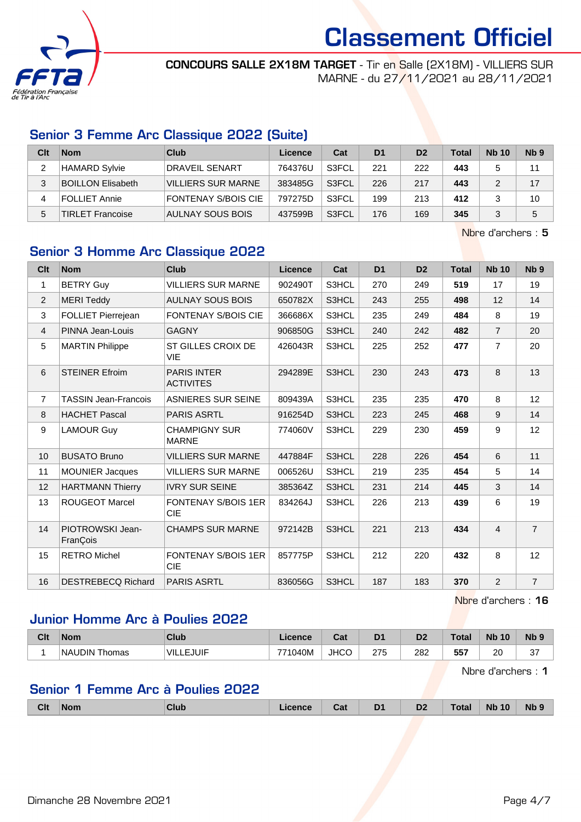

CONCOURS SALLE 2X18M TARGET - Tir en Salle (2X18M) - VILLIERS SUR MARNE - du 27/11/2021 au 28/11/2021

## Senior 3 Femme Arc Classique 2022 (Suite)

| Clt | <b>Nom</b>               | Club                      | Licence | Cat   | D <sub>1</sub> | D <sub>2</sub> | <b>Total</b> | <b>Nb 10</b> | N <sub>b</sub> <sub>9</sub> |
|-----|--------------------------|---------------------------|---------|-------|----------------|----------------|--------------|--------------|-----------------------------|
|     | <b>HAMARD Sylvie</b>     | DRAVEIL SENART            | 764376U | S3FCL | 221            | 222            | 443          |              | 11                          |
|     | <b>BOILLON Elisabeth</b> | <b>VILLIERS SUR MARNE</b> | 383485G | S3FCL | 226            | 217            | 443          |              | 17                          |
| 4   | FOLLIET Annie            | FONTENAY S/BOIS CIE       | 797275D | S3FCL | 199            | 213            | 412          |              | 10                          |
| 5   | TIRLET Francoise         | AULNAY SOUS BOIS          | 437599B | S3FCL | 176            | 169            | 345          |              | 5                           |

Nbre d'archers : 5

# Senior 3 Homme Arc Classique 2022

| <b>Clt</b>     | <b>Nom</b>                   | Club                                     | <b>Licence</b> | Cat   | D <sub>1</sub> | D <sub>2</sub> | <b>Total</b> | <b>Nb 10</b>   | N <sub>b</sub> <sub>9</sub> |
|----------------|------------------------------|------------------------------------------|----------------|-------|----------------|----------------|--------------|----------------|-----------------------------|
| 1              | <b>BETRY Guy</b>             | <b>VILLIERS SUR MARNE</b>                | 902490T        | S3HCL | 270            | 249            | 519          | 17             | 19                          |
| $\overline{2}$ | <b>MERI Teddy</b>            | <b>AULNAY SOUS BOIS</b>                  | 650782X        | S3HCL | 243            | 255            | 498          | 12             | 14                          |
| 3              | FOLLIET Pierrejean           | <b>FONTENAY S/BOIS CIE</b>               | 366686X        | S3HCL | 235            | 249            | 484          | 8              | 19                          |
| $\overline{4}$ | PINNA Jean-Louis             | <b>GAGNY</b>                             | 906850G        | S3HCL | 240            | 242            | 482          | $\overline{7}$ | 20                          |
| 5              | <b>MARTIN Philippe</b>       | ST GILLES CROIX DE<br><b>VIE</b>         | 426043R        | S3HCL | 225            | 252            | 477          | $\overline{7}$ | 20                          |
| 6              | <b>STEINER Efroim</b>        | <b>PARIS INTER</b><br><b>ACTIVITES</b>   | 294289E        | S3HCL | 230            | 243            | 473          | 8              | 13                          |
| $\overline{7}$ | <b>TASSIN Jean-Francois</b>  | <b>ASNIERES SUR SEINE</b>                | 809439A        | S3HCL | 235            | 235            | 470          | 8              | 12                          |
| 8              | <b>HACHET Pascal</b>         | <b>PARIS ASRTL</b>                       | 916254D        | S3HCL | 223            | 245            | 468          | 9              | 14                          |
| 9              | <b>LAMOUR Guy</b>            | <b>CHAMPIGNY SUR</b><br><b>MARNE</b>     | 774060V        | S3HCL | 229            | 230            | 459          | 9              | 12                          |
| 10             | <b>BUSATO Bruno</b>          | <b>VILLIERS SUR MARNE</b>                | 447884F        | S3HCL | 228            | 226            | 454          | 6              | 11                          |
| 11             | <b>MOUNIER Jacques</b>       | <b>VILLIERS SUR MARNE</b>                | 006526U        | S3HCL | 219            | 235            | 454          | 5              | 14                          |
| 12             | <b>HARTMANN Thierry</b>      | <b>IVRY SUR SEINE</b>                    | 385364Z        | S3HCL | 231            | 214            | 445          | 3              | 14                          |
| 13             | <b>ROUGEOT Marcel</b>        | <b>FONTENAY S/BOIS 1ER</b><br><b>CIE</b> | 834264J        | S3HCL | 226            | 213            | 439          | 6              | 19                          |
| 14             | PIOTROWSKI Jean-<br>FranÇois | <b>CHAMPS SUR MARNE</b>                  | 972142B        | S3HCL | 221            | 213            | 434          | $\overline{4}$ | $\overline{7}$              |
| 15             | <b>RETRO Michel</b>          | <b>FONTENAY S/BOIS 1ER</b><br><b>CIE</b> | 857775P        | S3HCL | 212            | 220            | 432          | 8              | 12                          |
| 16             | <b>DESTREBECQ Richard</b>    | <b>PARIS ASRTL</b>                       | 836056G        | S3HCL | 187            | 183            | 370          | $\overline{2}$ | $\overline{7}$              |

Nbre d'archers : 16

## Junior Homme Arc à Poulies 2022

| Clt | <b>Nom</b>              | Club        | icence  | <b>r</b> ~1<br>sal | D             | D <sub>2</sub> | Total | <b>N<sub>k</sub></b><br>10 | Nb <sub>9</sub> |
|-----|-------------------------|-------------|---------|--------------------|---------------|----------------|-------|----------------------------|-----------------|
|     | <b>NAUDIN</b><br>Thomas | JUIF<br>VII | 771040M | <b>JHCC</b>        | 275<br>$\sim$ | 282<br>___     | 557   | 20                         | $\sim$<br>ັ     |

Nbre d'archers : 1

## Senior 1 Femme Arc à Poulies 2022

|  | Clt | <b>Nom</b> | Club | icence | <b>Table</b><br>⊍dl | D <sub>1</sub> | D <sub>2</sub> | Total | <b>N<sub>b</sub></b><br>10 | <b>Nb</b> |
|--|-----|------------|------|--------|---------------------|----------------|----------------|-------|----------------------------|-----------|
|--|-----|------------|------|--------|---------------------|----------------|----------------|-------|----------------------------|-----------|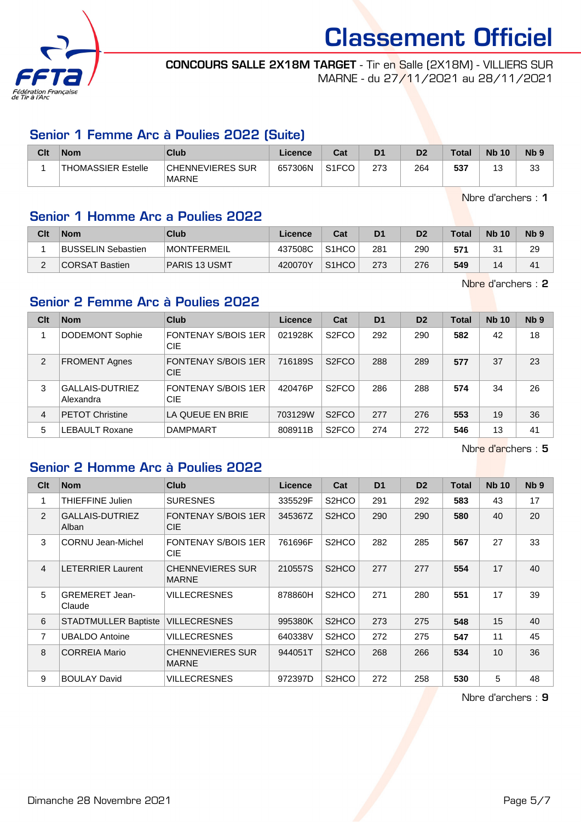

CONCOURS SALLE 2X18M TARGET - Tir en Salle (2X18M) - VILLIERS SUR MARNE - du 27/11/2021 au 28/11/2021

## Senior 1 Femme Arc à Poulies 2022 (Suite)

| Clt | <b>Nom</b>         | Club                             | Licence | Cat                | D <sub>1</sub> | D <sub>2</sub> | <b>Total</b> | <b>Nb 10</b>                    | N <sub>b</sub> <sub>9</sub> |
|-----|--------------------|----------------------------------|---------|--------------------|----------------|----------------|--------------|---------------------------------|-----------------------------|
|     | THOMASSIER Estelle | CHENNEVIERES SUR<br><b>MARNE</b> | 657306N | S <sub>1</sub> FCO | 273            | 264            | 537          | $\overline{\phantom{a}}$<br>ں ۔ | วว<br>ن ب                   |

Nbre d'archers : 1

## Senior 1 Homme Arc a Poulies 2022

| Clt | <b>Nom</b>                | <b>Club</b>        | $\mathsf{\mathsf{Licence}}$ | Cat                | D <sub>1</sub> | D <sub>2</sub> | <b>Total</b> | <b>Nb 10</b> | Nb <sub>9</sub> |
|-----|---------------------------|--------------------|-----------------------------|--------------------|----------------|----------------|--------------|--------------|-----------------|
|     | <b>BUSSELIN Sebastien</b> | <b>MONTFERMEIL</b> | 437508C                     | S <sub>1</sub> HCO | 281            | 290            | 571          | $\sim$       | 29              |
|     | CORSAT Bastien            | PARIS 13 USMT      | 420070Y                     | S <sub>1</sub> HCO | 273            | 276            | 549          | 14           | 41              |

Nbre d'archers : 2

## Senior 2 Femme Arc à Poulies 2022

| Clt | <b>Nom</b>                   | Club                                     | Licence | Cat                | D <sub>1</sub> | D <sub>2</sub> | <b>Total</b> | <b>Nb 10</b> | Nb <sub>9</sub> |
|-----|------------------------------|------------------------------------------|---------|--------------------|----------------|----------------|--------------|--------------|-----------------|
|     | <b>DODEMONT Sophie</b>       | <b>FONTENAY S/BOIS 1ER</b><br><b>CIE</b> | 021928K | S <sub>2</sub> FCO | 292            | 290            | 582          | 42           | 18              |
| 2   | <b>FROMENT Agnes</b>         | <b>FONTENAY S/BOIS 1ER</b><br><b>CIE</b> | 716189S | S <sub>2</sub> FCO | 288            | 289            | 577          | 37           | 23              |
| 3   | GALLAIS-DUTRIEZ<br>Alexandra | <b>FONTENAY S/BOIS 1ER</b><br><b>CIE</b> | 420476P | S <sub>2</sub> FCO | 286            | 288            | 574          | 34           | 26              |
| 4   | <b>PETOT Christine</b>       | LA QUEUE EN BRIE                         | 703129W | S <sub>2</sub> FCO | 277            | 276            | 553          | 19           | 36              |
| 5   | <b>LEBAULT Roxane</b>        | <b>DAMPMART</b>                          | 808911B | S <sub>2</sub> FCO | 274            | 272            | 546          | 13           | 41              |

Nbre d'archers : 5

## Senior 2 Homme Arc à Poulies 2022

| Clt            | <b>Nom</b>                      | Club                                     | <b>Licence</b> | Cat                            | D <sub>1</sub> | D <sub>2</sub> | <b>Total</b> | <b>Nb 10</b>    | N <sub>b</sub> <sub>9</sub> |
|----------------|---------------------------------|------------------------------------------|----------------|--------------------------------|----------------|----------------|--------------|-----------------|-----------------------------|
| 1              | <b>THIEFFINE Julien</b>         | <b>SURESNES</b>                          | 335529F        | S <sub>2</sub> HCO             | 291            | 292            | 583          | 43              | 17                          |
| 2              | <b>GALLAIS-DUTRIEZ</b><br>Alban | <b>FONTENAY S/BOIS 1ER</b><br><b>CIE</b> | 345367Z        | S <sub>2</sub> HCO             | 290            | 290            | 580          | 40              | 20                          |
| 3              | CORNU Jean-Michel               | <b>FONTENAY S/BOIS 1ER</b><br><b>CIE</b> | 761696F        | S <sub>2</sub> H <sub>CO</sub> | 282            | 285            | 567          | 27              | 33                          |
| 4              | <b>LETERRIER Laurent</b>        | <b>CHENNEVIERES SUR</b><br><b>MARNE</b>  | 210557S        | S <sub>2</sub> HCO             | 277            | 277            | 554          | 17              | 40                          |
| 5              | <b>GREMERET Jean-</b><br>Claude | <b>VILLECRESNES</b>                      | 878860H        | S <sub>2</sub> H <sub>CO</sub> | 271            | 280            | 551          | 17              | 39                          |
| 6              | <b>STADTMULLER Baptiste</b>     | <b>VILLECRESNES</b>                      | 995380K        | S <sub>2</sub> HCO             | 273            | 275            | 548          | 15              | 40                          |
| $\overline{7}$ | <b>UBALDO Antoine</b>           | VILLECRESNES                             | 640338V        | S <sub>2</sub> HCO             | 272            | 275            | 547          | 11              | 45                          |
| 8              | <b>CORREIA Mario</b>            | <b>CHENNEVIERES SUR</b><br><b>MARNE</b>  | 944051T        | S <sub>2</sub> HCO             | 268            | 266            | 534          | 10 <sup>1</sup> | 36                          |
| 9              | <b>BOULAY David</b>             | <b>VILLECRESNES</b>                      | 972397D        | S <sub>2</sub> HCO             | 272            | 258            | 530          | 5               | 48                          |

Nbre d'archers : 9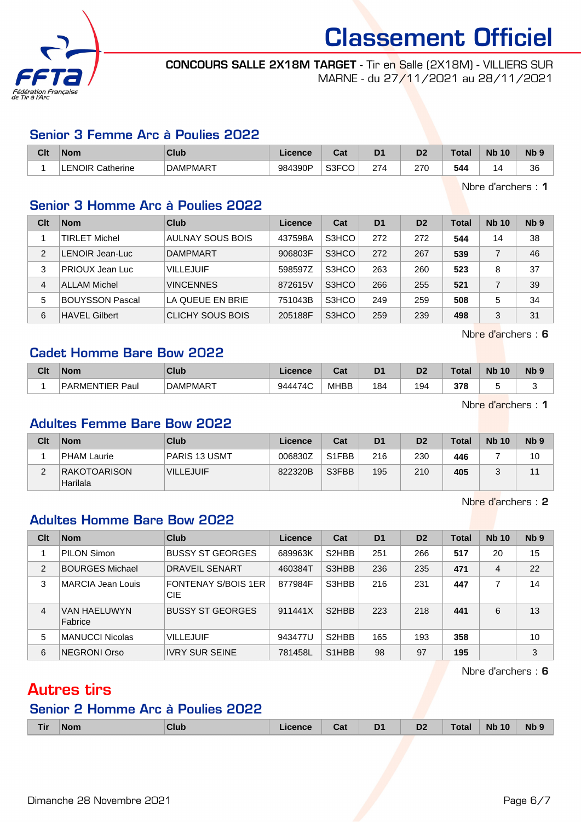

CONCOURS SALLE 2X18M TARGET - Tir en Salle (2X18M) - VILLIERS SUR MARNE - du 27/11/2021 au 28/11/2021

#### Senior 3 Femme Arc à Poulies 2022

| Clt | 'Nom                         | Club            | Licence | ົີີ່<br>uau | D <sub>1</sub> | m<br>ש | Total | <b>Nb</b><br>10 | N <sub>b</sub> <sub>9</sub> |
|-----|------------------------------|-----------------|---------|-------------|----------------|--------|-------|-----------------|-----------------------------|
|     | <b>LENOIR</b><br>: Catherine | <b>DAMPMART</b> | 984390P | S3FCO       | 274            | 270    | 544   |                 | 36                          |

Nbre d'archers : 1

#### Senior 3 Homme Arc à Poulies 2022

| Clt | <b>Nom</b>             | Club             | Licence | Cat   | D <sub>1</sub> | D <sub>2</sub> | Total | <b>Nb 10</b> | Nb <sub>9</sub> |
|-----|------------------------|------------------|---------|-------|----------------|----------------|-------|--------------|-----------------|
|     | <b>TIRLET Michel</b>   | AULNAY SOUS BOIS | 437598A | S3HCO | 272            | 272            | 544   | 14           | 38              |
| 2   | LENOIR Jean-Luc        | <b>DAMPMART</b>  | 906803F | S3HCO | 272            | 267            | 539   |              | 46              |
| 3   | PRIOUX Jean Luc        | <b>VILLEJUIF</b> | 598597Z | S3HCO | 263            | 260            | 523   | 8            | 37              |
| 4   | <b>ALLAM Michel</b>    | <b>VINCENNES</b> | 872615V | S3HCO | 266            | 255            | 521   |              | 39              |
| 5   | <b>BOUYSSON Pascal</b> | LA QUEUE EN BRIE | 751043B | S3HCO | 249            | 259            | 508   | 5            | 34              |
| 6   | <b>HAVEL Gilbert</b>   | CLICHY SOUS BOIS | 205188F | S3HCO | 259            | 239            | 498   | 3            | 31              |

Nbre d'archers : 6

### Cadet Homme Bare Bow 2022

| Clt | <b>Nom</b>                        | Club            | ∟icence | <b>Table</b><br>uai | D <sub>1</sub> | n.<br>ש | Гоtа | <b>Nb</b><br>10 | N <sub>b</sub> |
|-----|-----------------------------------|-----------------|---------|---------------------|----------------|---------|------|-----------------|----------------|
|     | <b>ARMENTIER</b><br>^ ם<br>ີ Paul | <b>DAMPMART</b> | 944474C | <b>MHBB</b>         | '84            | 194     | 378  |                 |                |

Nbre d'archers : 1

#### Adultes Femme Bare Bow 2022

| Clt | <b>Nom</b>                      | Club                 | Licence | Cat   | D <sub>1</sub> | D <sub>2</sub> | <b>Total</b> | <b>Nb 10</b> | Nb <sub>9</sub> |
|-----|---------------------------------|----------------------|---------|-------|----------------|----------------|--------------|--------------|-----------------|
|     | <b>PHAM Laurie</b>              | <b>PARIS 13 USMT</b> | 006830Z | S1FBB | 216            | 230            | 446          |              | 10              |
| ◠   | <b>RAKOTOARISON</b><br>Harilala | <b>VILLEJUIF</b>     | 822320B | S3FBB | 195            | 210            | 405          |              |                 |

Nbre d'archers : 2

## Adultes Homme Bare Bow 2022

| Clt            | <b>Nom</b>              | Club                                     | Licence | Cat                            | D <sub>1</sub> | D <sub>2</sub> | <b>Total</b> | <b>Nb 10</b> | Nb <sub>9</sub> |
|----------------|-------------------------|------------------------------------------|---------|--------------------------------|----------------|----------------|--------------|--------------|-----------------|
|                | PILON Simon             | <b>BUSSY ST GEORGES</b>                  | 689963K | S <sub>2</sub> HBB             | 251            | 266            | 517          | 20           | 15              |
| $\overline{2}$ | <b>BOURGES Michael</b>  | DRAVEIL SENART                           | 460384T | S3HBB                          | 236            | 235            | 471          | 4            | 22              |
| 3              | MARCIA Jean Louis       | <b>FONTENAY S/BOIS 1ER</b><br><b>CIE</b> | 877984F | S3HBB                          | 216            | 231            | 447          |              | 14              |
| $\overline{4}$ | VAN HAELUWYN<br>Fabrice | <b>BUSSY ST GEORGES</b>                  | 911441X | S <sub>2</sub> HBB             | 223            | 218            | 441          | 6            | 13              |
| 5              | <b>MANUCCI Nicolas</b>  | <b>VILLEJUIF</b>                         | 943477U | S <sub>2</sub> HBB             | 165            | 193            | 358          |              | 10              |
| 6              | <b>NEGRONI Orso</b>     | <b>IVRY SUR SEINE</b>                    | 781458L | S <sub>1</sub> H <sub>BB</sub> | 98             | 97             | 195          |              | 3               |

Nbre d'archers : 6

# Autres tirs

### Senior 2 Homme Arc à Poulies 2022

| <b>Tir</b><br><b>Nb</b><br>D <sub>1</sub><br><b>Nb</b><br>10<br>n'<br>CluL<br>Nom<br>$i$ annan<br>υZ<br>va. |  |  |  |  |  |  |  |  |  |  |
|-------------------------------------------------------------------------------------------------------------|--|--|--|--|--|--|--|--|--|--|
|-------------------------------------------------------------------------------------------------------------|--|--|--|--|--|--|--|--|--|--|